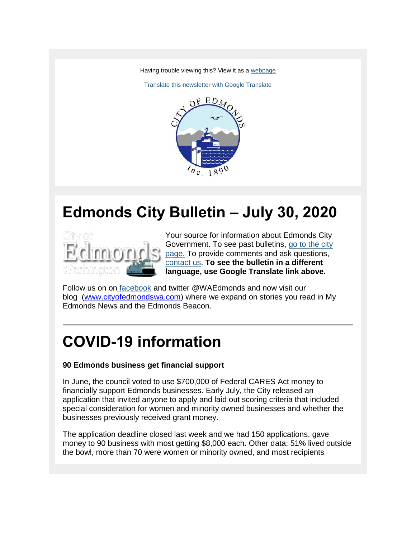Having trouble viewing this? View it as a [webpage](https://content.govdelivery.com/accounts/WAEDMONDS/bulletins/297ec60)

[Translate this newsletter with Google Translate](https://translate.google.com/translate?sl=en&tl=es&u=https%3A%2F%2Fcontent.govdelivery.com%2Faccounts%2FWAEDMONDS%2Fbulletins%2F297ec60)



# **Edmonds City Bulletin – July 30, 2020**



Your source for information about Edmonds City Government. To see past bulletins, [go to the city](http://www.edmondswa.gov/edmonds-city-bulletin.html)  [page.](http://www.edmondswa.gov/edmonds-city-bulletin.html) To provide comments and ask questions, [contact us.](mailto:jamie.holter@edmondswa.gov) **To see the bulletin in a different language, use Google Translate link above.**

Follow us on on [facebook](https://www.facebook.com/cityofedmonds/) and twitter @WAEdmonds and now visit our blog [\(www.cityofedmondswa.com\)](http://www.cityofedmondswa.com/) where we expand on stories you read in My Edmonds News and the Edmonds Beacon.

# **COVID-19 information**

### **90 Edmonds business get financial support**

In June, the council voted to use \$700,000 of Federal CARES Act money to financially support Edmonds businesses. Early July, the City released an application that invited anyone to apply and laid out scoring criteria that included special consideration for women and minority owned businesses and whether the businesses previously received grant money.

The application deadline closed last week and we had 150 applications, gave money to 90 business with most getting \$8,000 each. Other data: 51% lived outside the bowl, more than 70 were women or minority owned, and most recipients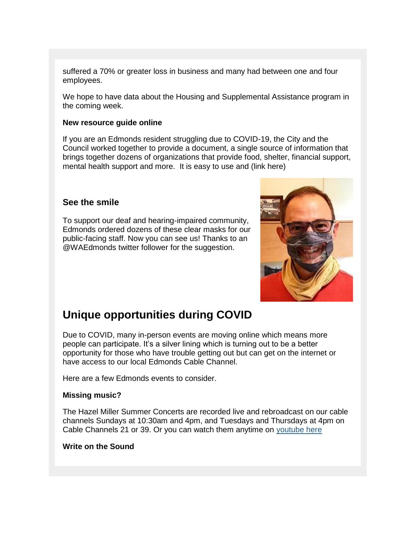suffered a 70% or greater loss in business and many had between one and four employees.

We hope to have data about the Housing and Supplemental Assistance program in the coming week.

#### **New resource guide online**

If you are an Edmonds resident struggling due to COVID-19, the City and the Council worked together to provide a document, a single source of information that brings together dozens of organizations that provide food, shelter, financial support, mental health support and more. It is easy to use and (link here)

### **See the smile**

To support our deaf and hearing-impaired community, Edmonds ordered dozens of these clear masks for our public-facing staff. Now you can see us! Thanks to an @WAEdmonds twitter follower for the suggestion.



### **Unique opportunities during COVID**

Due to COVID, many in-person events are moving online which means more people can participate. It's a silver lining which is turning out to be a better opportunity for those who have trouble getting out but can get on the internet or have access to our local Edmonds Cable Channel.

Here are a few Edmonds events to consider.

#### **Missing music?**

The Hazel Miller Summer Concerts are recorded live and rebroadcast on our cable channels Sundays at 10:30am and 4pm, and Tuesdays and Thursdays at 4pm on Cable Channels 21 or 39. Or you can watch them anytime on [youtube here](https://www.youtube.com/user/cityofedmonds1/videos)

#### **Write on the Sound**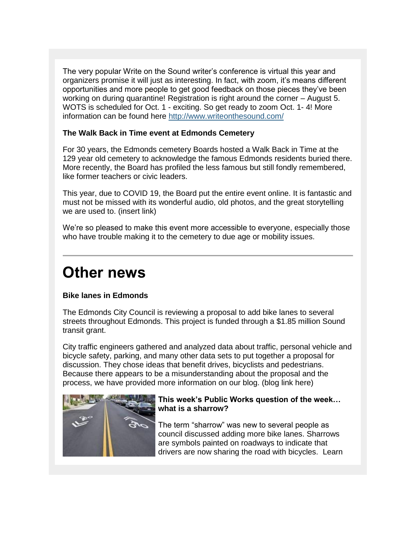The very popular Write on the Sound writer's conference is virtual this year and organizers promise it will just as interesting. In fact, with zoom, it's means different opportunities and more people to get good feedback on those pieces they've been working on during quarantine! Registration is right around the corner – August 5. WOTS is scheduled for Oct. 1 - exciting. So get ready to zoom Oct. 1- 4! More information can be found here <http://www.writeonthesound.com/>

### **The Walk Back in Time event at Edmonds Cemetery**

For 30 years, the Edmonds cemetery Boards hosted a Walk Back in Time at the 129 year old cemetery to acknowledge the famous Edmonds residents buried there. More recently, the Board has profiled the less famous but still fondly remembered, like former teachers or civic leaders.

This year, due to COVID 19, the Board put the entire event online. It is fantastic and must not be missed with its wonderful audio, old photos, and the great storytelling we are used to. (insert link)

We're so pleased to make this event more accessible to everyone, especially those who have trouble making it to the cemetery to due age or mobility issues.

## **Other news**

### **Bike lanes in Edmonds**

The Edmonds City Council is reviewing a proposal to add bike lanes to several streets throughout Edmonds. This project is funded through a \$1.85 million Sound transit grant.

City traffic engineers gathered and analyzed data about traffic, personal vehicle and bicycle safety, parking, and many other data sets to put together a proposal for discussion. They chose ideas that benefit drives, bicyclists and pedestrians. Because there appears to be a misunderstanding about the proposal and the process, we have provided more information on our blog. (blog link here)



### **This week's Public Works question of the week… what is a sharrow?**

The term "sharrow" was new to several people as council discussed adding more bike lanes. Sharrows are symbols painted on roadways to indicate that drivers are now sharing the road with bicycles. Learn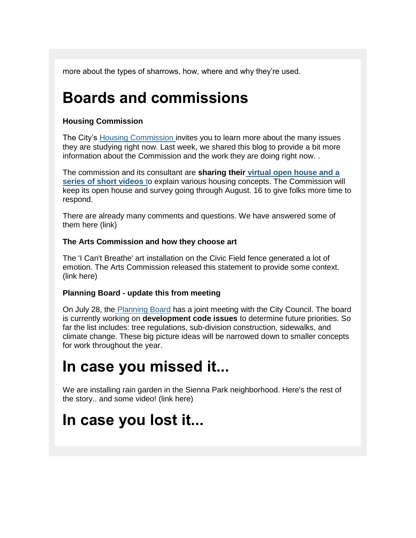more about the types of sharrows, how, where and why they're used.

## **Boards and commissions**

### **Housing Commission**

The City's [Housing Commission i](https://www.citizenshousingcommission.org/)nvites you to learn more about the many issues they are studying right now. Last week, we shared this blog to provide a bit more information about the Commission and the work they are doing right now. .

The commission and its consultant are **sharing their [virtual open house and a](https://www.echcopenhouse.com/)  [series of short videos](https://www.echcopenhouse.com/)** to explain various housing concepts. The Commission will keep its open house and survey going through August. 16 to give folks more time to respond.

There are already many comments and questions. We have answered some of them here (link)

### **The Arts Commission and how they choose art**

The 'I Can't Breathe' art installation on the Civic Field fence generated a lot of emotion. The Arts Commission released this statement to provide some context. (link here)

### **Planning Board - update this from meeting**

On July 28, the [Planning Board](http://www.edmondswa.gov/planning-board.html) has a joint meeting with the City Council. The board is currently working on **development code issues** to determine future priorities. So far the list includes: tree regulations, sub-division construction, sidewalks, and climate change. These big picture ideas will be narrowed down to smaller concepts for work throughout the year.

## **In case you missed it...**

We are installing rain garden in the Sienna Park neighborhood. Here's the rest of the story.. and some video! (link here)

## **In case you lost it...**